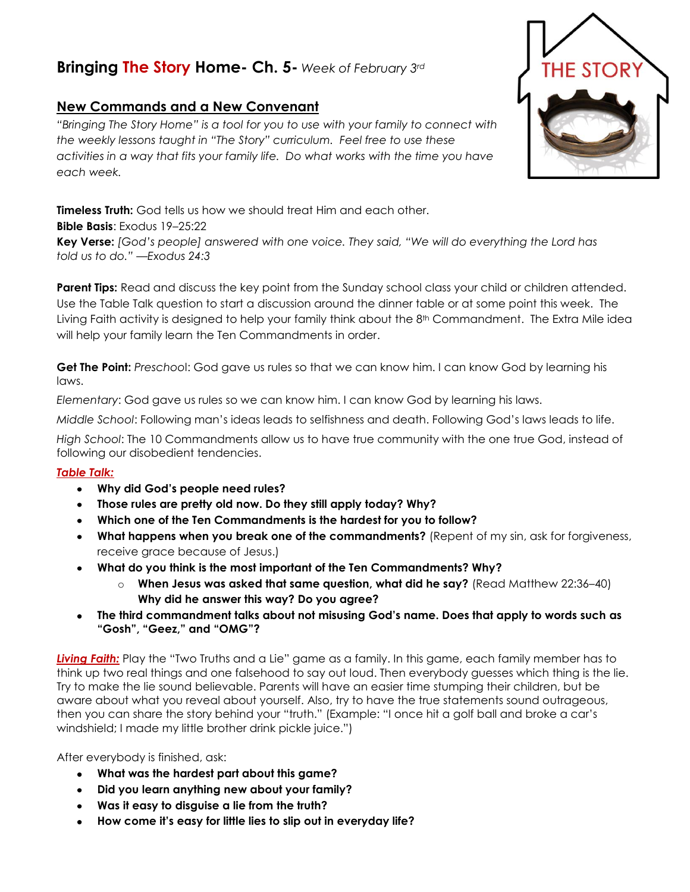## **Bringing The Story Home- Ch. 5-** *Week of February 3rd*

## **New Commands and a New Convenant**

*"Bringing The Story Home" is a tool for you to use with your family to connect with the weekly lessons taught in "The Story" curriculum. Feel free to use these activities in a way that fits your family life. Do what works with the time you have each week.* 

**Timeless Truth:** God tells us how we should treat Him and each other. **Bible Basis**: Exodus 19–25:22 **Key Verse:** *[God's people] answered with one voice. They said, "We will do everything the Lord has told us to do." —Exodus 24:3*

**Parent Tips:** Read and discuss the key point from the Sunday school class your child or children attended. Use the Table Talk question to start a discussion around the dinner table or at some point this week. The Living Faith activity is designed to help your family think about the 8<sup>th</sup> Commandment. The Extra Mile idea will help your family learn the Ten Commandments in order.

**Get The Point:** *Preschoo*l: God gave us rules so that we can know him. I can know God by learning his laws.

*Elementary*: God gave us rules so we can know him. I can know God by learning his laws.

*Middle School*: Following man's ideas leads to selfishness and death. Following God's laws leads to life.

*High School*: The 10 Commandments allow us to have true community with the one true God, instead of following our disobedient tendencies.

## *Table Talk:*

- **Why did God's people need rules?**
- **Those rules are pretty old now. Do they still apply today? Why?**
- **Which one of the Ten Commandments is the hardest for you to follow?**
- **What happens when you break one of the commandments?** (Repent of my sin, ask for forgiveness, receive grace because of Jesus.)
- **What do you think is the most important of the Ten Commandments? Why?**
	- o **When Jesus was asked that same question, what did he say?** (Read Matthew 22:36–40) **Why did he answer this way? Do you agree?**
- **The third commandment talks about not misusing God's name. Does that apply to words such as "Gosh", "Geez," and "OMG"?**

*Living Faith:* Play the "Two Truths and a Lie" game as a family. In this game, each family member has to think up two real things and one falsehood to say out loud. Then everybody guesses which thing is the lie. Try to make the lie sound believable. Parents will have an easier time stumping their children, but be aware about what you reveal about yourself. Also, try to have the true statements sound outrageous, then you can share the story behind your "truth." (Example: "I once hit a golf ball and broke a car's windshield; I made my little brother drink pickle juice.")

After everybody is finished, ask:

- **What was the hardest part about this game?**
- **Did you learn anything new about your family?**
- **Was it easy to disguise a lie from the truth?**
- **How come it's easy for little lies to slip out in everyday life?**